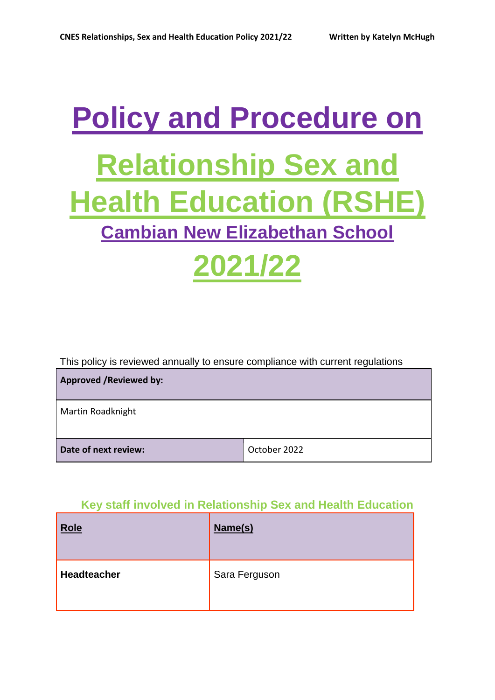# **Policy and Procedure on Relationship Sex and Health Education (RSHE) Cambian New Elizabethan School 2021/22**

This policy is reviewed annually to ensure compliance with current regulations

| <b>Approved / Reviewed by:</b> |              |
|--------------------------------|--------------|
| Martin Roadknight              |              |
|                                |              |
| Date of next review:           | October 2022 |

## **Key staff involved in Relationship Sex and Health Education**

| <b>Role</b> | Name(s)       |
|-------------|---------------|
| Headteacher | Sara Ferguson |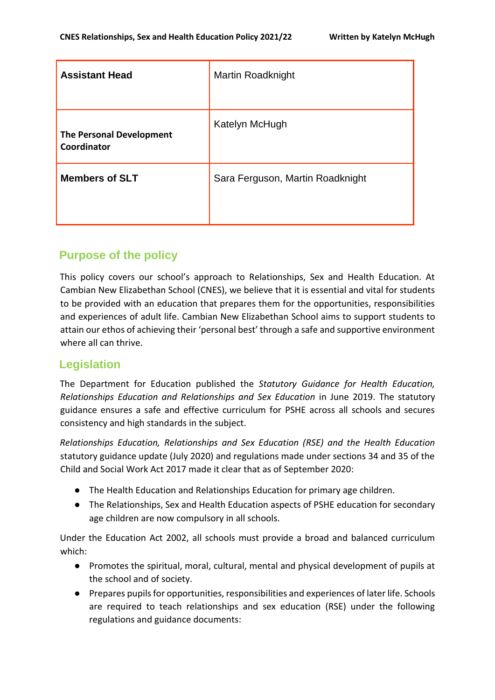| <b>Assistant Head</b>                          | Martin Roadknight                |
|------------------------------------------------|----------------------------------|
| <b>The Personal Development</b><br>Coordinator | Katelyn McHugh                   |
| <b>Members of SLT</b>                          | Sara Ferguson, Martin Roadknight |

## **Purpose of the policy**

This policy covers our school's approach to Relationships, Sex and Health Education. At Cambian New Elizabethan School (CNES), we believe that it is essential and vital for students to be provided with an education that prepares them for the opportunities, responsibilities and experiences of adult life. Cambian New Elizabethan School aims to support students to attain our ethos of achieving their 'personal best' through a safe and supportive environment where all can thrive.

## **Legislation**

The Department for Education published the *Statutory Guidance for Health Education, Relationships Education and Relationships and Sex Education* in June 2019. The statutory guidance ensures a safe and effective curriculum for PSHE across all schools and secures consistency and high standards in the subject.

*Relationships Education, Relationships and Sex Education (RSE) and the Health Education* statutory guidance update (July 2020) and regulations made under sections 34 and 35 of the Child and Social Work Act 2017 made it clear that as of September 2020:

- The Health Education and Relationships Education for primary age children.
- The Relationships, Sex and Health Education aspects of PSHE education for secondary age children are now compulsory in all schools.

Under the Education Act 2002, all schools must provide a broad and balanced curriculum which:

- Promotes the spiritual, moral, cultural, mental and physical development of pupils at the school and of society.
- Prepares pupils for opportunities, responsibilities and experiences of later life. Schools are required to teach relationships and sex education (RSE) under the following regulations and guidance documents: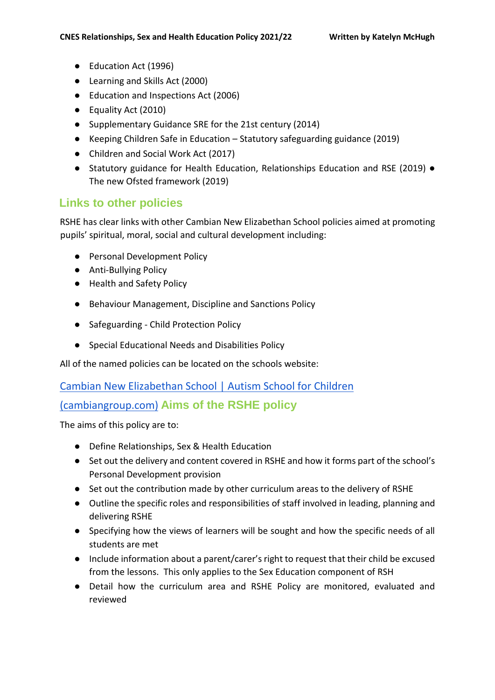- Education Act (1996)
- Learning and Skills Act (2000)
- Education and Inspections Act (2006)
- Equality Act (2010)
- Supplementary Guidance SRE for the 21st century (2014)
- Keeping Children Safe in Education Statutory safeguarding guidance (2019)
- Children and Social Work Act (2017)
- Statutory guidance for Health Education, Relationships Education and RSE (2019) The new Ofsted framework (2019)

#### **Links to other policies**

RSHE has clear links with other Cambian New Elizabethan School policies aimed at promoting pupils' spiritual, moral, social and cultural development including:

- Personal Development Policy
- Anti-Bullying Policy
- Health and Safety Policy
- Behaviour Management, Discipline and Sanctions Policy
- Safeguarding Child Protection Policy
- Special Educational Needs and Disabilities Policy

All of the named policies can be located on the schools website:

#### [Cambian New Elizabethan School | Autism School for Children](https://www.cambiangroup.com/specialist-education/our-schools/autism-schools/new-elizabethan-school/)

## [\(cambiangroup.com\)](https://www.cambiangroup.com/specialist-education/our-schools/autism-schools/new-elizabethan-school/) **Aims of the RSHE policy**

The aims of this policy are to:

- Define Relationships, Sex & Health Education
- Set out the delivery and content covered in RSHE and how it forms part of the school's Personal Development provision
- Set out the contribution made by other curriculum areas to the delivery of RSHE
- Outline the specific roles and responsibilities of staff involved in leading, planning and delivering RSHE
- Specifying how the views of learners will be sought and how the specific needs of all students are met
- Include information about a parent/carer's right to request that their child be excused from the lessons. This only applies to the Sex Education component of RSH
- Detail how the curriculum area and RSHE Policy are monitored, evaluated and reviewed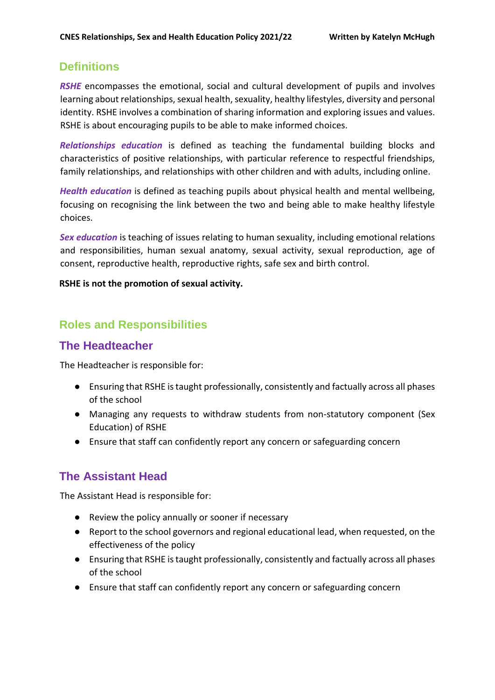## **Definitions**

**RSHE** encompasses the emotional, social and cultural development of pupils and involves learning about relationships, sexual health, sexuality, healthy lifestyles, diversity and personal identity. RSHE involves a combination of sharing information and exploring issues and values. RSHE is about encouraging pupils to be able to make informed choices.

*Relationships education* is defined as teaching the fundamental building blocks and characteristics of positive relationships, with particular reference to respectful friendships, family relationships, and relationships with other children and with adults, including online.

*Health education* is defined as teaching pupils about physical health and mental wellbeing, focusing on recognising the link between the two and being able to make healthy lifestyle choices.

*Sex education* is teaching of issues relating to human sexuality, including emotional relations and responsibilities, human sexual anatomy, sexual activity, sexual reproduction, age of consent, reproductive health, reproductive rights, safe sex and birth control.

#### **RSHE is not the promotion of sexual activity.**

## **Roles and Responsibilities**

## **The Headteacher**

The Headteacher is responsible for:

- Ensuring that RSHE is taught professionally, consistently and factually across all phases of the school
- Managing any requests to withdraw students from non-statutory component (Sex Education) of RSHE
- Ensure that staff can confidently report any concern or safeguarding concern

## **The Assistant Head**

The Assistant Head is responsible for:

- Review the policy annually or sooner if necessary
- Report to the school governors and regional educational lead, when requested, on the effectiveness of the policy
- Ensuring that RSHE is taught professionally, consistently and factually across all phases of the school
- Ensure that staff can confidently report any concern or safeguarding concern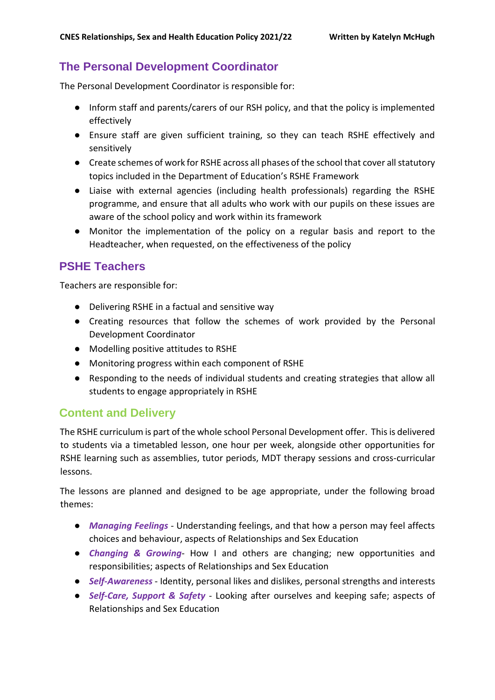## **The Personal Development Coordinator**

The Personal Development Coordinator is responsible for:

- Inform staff and parents/carers of our RSH policy, and that the policy is implemented effectively
- Ensure staff are given sufficient training, so they can teach RSHE effectively and sensitively
- Create schemes of work for RSHE across all phases of the school that cover all statutory topics included in the Department of Education's RSHE Framework
- Liaise with external agencies (including health professionals) regarding the RSHE programme, and ensure that all adults who work with our pupils on these issues are aware of the school policy and work within its framework
- Monitor the implementation of the policy on a regular basis and report to the Headteacher, when requested, on the effectiveness of the policy

## **PSHE Teachers**

Teachers are responsible for:

- Delivering RSHE in a factual and sensitive way
- Creating resources that follow the schemes of work provided by the Personal Development Coordinator
- Modelling positive attitudes to RSHE
- Monitoring progress within each component of RSHE
- Responding to the needs of individual students and creating strategies that allow all students to engage appropriately in RSHE

## **Content and Delivery**

The RSHE curriculum is part of the whole school Personal Development offer. This is delivered to students via a timetabled lesson, one hour per week, alongside other opportunities for RSHE learning such as assemblies, tutor periods, MDT therapy sessions and cross-curricular lessons.

The lessons are planned and designed to be age appropriate, under the following broad themes:

- *Managing Feelings* Understanding feelings, and that how a person may feel affects choices and behaviour, aspects of Relationships and Sex Education
- *Changing & Growing* How I and others are changing; new opportunities and responsibilities; aspects of Relationships and Sex Education
- *Self-Awareness* Identity, personal likes and dislikes, personal strengths and interests
- *Self-Care, Support & Safety* Looking after ourselves and keeping safe; aspects of Relationships and Sex Education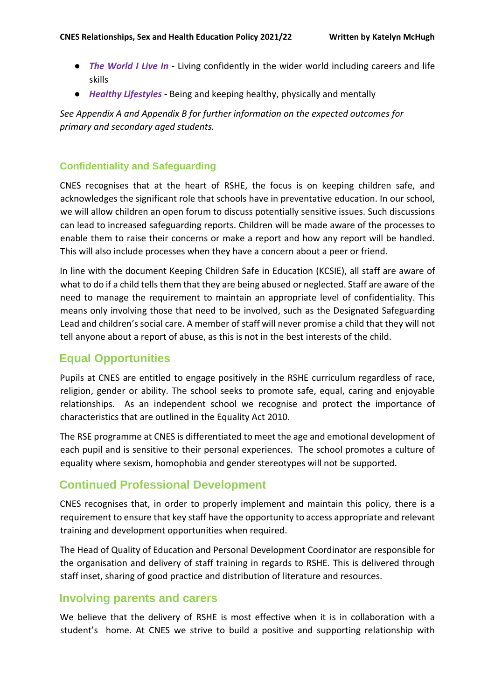- *The World I Live In* Living confidently in the wider world including careers and life skills
- *Healthy Lifestyles* Being and keeping healthy, physically and mentally

*See Appendix A and Appendix B for further information on the expected outcomes for primary and secondary aged students.* 

#### **Confidentiality and Safeguarding**

CNES recognises that at the heart of RSHE, the focus is on keeping children safe, and acknowledges the significant role that schools have in preventative education. In our school, we will allow children an open forum to discuss potentially sensitive issues. Such discussions can lead to increased safeguarding reports. Children will be made aware of the processes to enable them to raise their concerns or make a report and how any report will be handled. This will also include processes when they have a concern about a peer or friend.

In line with the document Keeping Children Safe in Education (KCSIE), all staff are aware of what to do if a child tells them that they are being abused or neglected. Staff are aware of the need to manage the requirement to maintain an appropriate level of confidentiality. This means only involving those that need to be involved, such as the Designated Safeguarding Lead and children's social care. A member of staff will never promise a child that they will not tell anyone about a report of abuse, as this is not in the best interests of the child.

## **Equal Opportunities**

Pupils at CNES are entitled to engage positively in the RSHE curriculum regardless of race, religion, gender or ability. The school seeks to promote safe, equal, caring and enjoyable relationships. As an independent school we recognise and protect the importance of characteristics that are outlined in the Equality Act 2010.

The RSE programme at CNES is differentiated to meet the age and emotional development of each pupil and is sensitive to their personal experiences. The school promotes a culture of equality where sexism, homophobia and gender stereotypes will not be supported.

## **Continued Professional Development**

CNES recognises that, in order to properly implement and maintain this policy, there is a requirement to ensure that key staff have the opportunity to access appropriate and relevant training and development opportunities when required.

The Head of Quality of Education and Personal Development Coordinator are responsible for the organisation and delivery of staff training in regards to RSHE. This is delivered through staff inset, sharing of good practice and distribution of literature and resources.

#### **Involving parents and carers**

We believe that the delivery of RSHE is most effective when it is in collaboration with a student's home. At CNES we strive to build a positive and supporting relationship with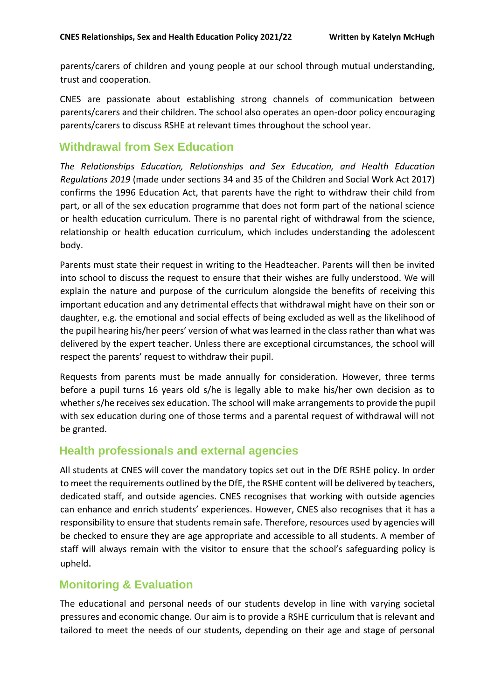parents/carers of children and young people at our school through mutual understanding, trust and cooperation.

CNES are passionate about establishing strong channels of communication between parents/carers and their children. The school also operates an open-door policy encouraging parents/carers to discuss RSHE at relevant times throughout the school year.

## **Withdrawal from Sex Education**

*The Relationships Education, Relationships and Sex Education, and Health Education Regulations 2019* (made under sections 34 and 35 of the Children and Social Work Act 2017) confirms the 1996 Education Act, that parents have the right to withdraw their child from part, or all of the sex education programme that does not form part of the national science or health education curriculum. There is no parental right of withdrawal from the science, relationship or health education curriculum, which includes understanding the adolescent body.

Parents must state their request in writing to the Headteacher. Parents will then be invited into school to discuss the request to ensure that their wishes are fully understood. We will explain the nature and purpose of the curriculum alongside the benefits of receiving this important education and any detrimental effects that withdrawal might have on their son or daughter, e.g. the emotional and social effects of being excluded as well as the likelihood of the pupil hearing his/her peers' version of what was learned in the class rather than what was delivered by the expert teacher. Unless there are exceptional circumstances, the school will respect the parents' request to withdraw their pupil.

Requests from parents must be made annually for consideration. However, three terms before a pupil turns 16 years old s/he is legally able to make his/her own decision as to whether s/he receives sex education. The school will make arrangements to provide the pupil with sex education during one of those terms and a parental request of withdrawal will not be granted.

## **Health professionals and external agencies**

All students at CNES will cover the mandatory topics set out in the DfE RSHE policy. In order to meet the requirements outlined by the DfE, the RSHE content will be delivered by teachers, dedicated staff, and outside agencies. CNES recognises that working with outside agencies can enhance and enrich students' experiences. However, CNES also recognises that it has a responsibility to ensure that students remain safe. Therefore, resources used by agencies will be checked to ensure they are age appropriate and accessible to all students. A member of staff will always remain with the visitor to ensure that the school's safeguarding policy is upheld.

## **Monitoring & Evaluation**

The educational and personal needs of our students develop in line with varying societal pressures and economic change. Our aim is to provide a RSHE curriculum that is relevant and tailored to meet the needs of our students, depending on their age and stage of personal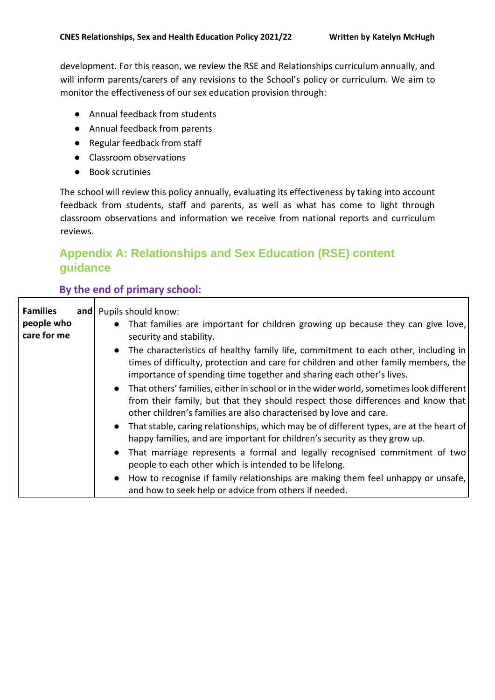development. For this reason, we review the RSE and Relationships curriculum annually, and will inform parents/carers of any revisions to the School's policy or curriculum. We aim to monitor the effectiveness of our sex education provision through:

- Annual feedback from students
- Annual feedback from parents
- Regular feedback from staff
- Classroom observations
- Book scrutinies

The school will review this policy annually, evaluating its effectiveness by taking into account feedback from students, staff and parents, as well as what has come to light through classroom observations and information we receive from national reports and curriculum reviews.

## **Appendix A: Relationships and Sex Education (RSE) content guidance**

#### **By the end of primary school:**

| <b>Families</b><br>people who<br>care for me | and Pupils should know:<br>That families are important for children growing up because they can give love,<br>$\bullet$<br>security and stability.                                                                                                             |
|----------------------------------------------|----------------------------------------------------------------------------------------------------------------------------------------------------------------------------------------------------------------------------------------------------------------|
|                                              | The characteristics of healthy family life, commitment to each other, including in<br>$\bullet$<br>times of difficulty, protection and care for children and other family members, the<br>importance of spending time together and sharing each other's lives. |
|                                              | That others' families, either in school or in the wider world, sometimes look different<br>$\bullet$<br>from their family, but that they should respect those differences and know that<br>other children's families are also characterised by love and care.  |
|                                              | That stable, caring relationships, which may be of different types, are at the heart of<br>$\bullet$<br>happy families, and are important for children's security as they grow up.                                                                             |
|                                              | That marriage represents a formal and legally recognised commitment of two<br>$\bullet$<br>people to each other which is intended to be lifelong.                                                                                                              |
|                                              | How to recognise if family relationships are making them feel unhappy or unsafe,<br>$\bullet$<br>and how to seek help or advice from others if needed.                                                                                                         |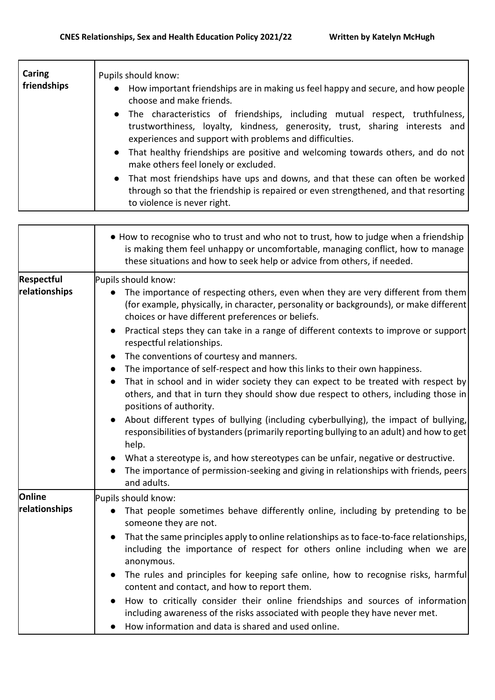| Caring<br>friendships | Pupils should know:<br>How important friendships are in making us feel happy and secure, and how people<br>choose and make friends.                                                                                                                                                                          |
|-----------------------|--------------------------------------------------------------------------------------------------------------------------------------------------------------------------------------------------------------------------------------------------------------------------------------------------------------|
|                       | • The characteristics of friendships, including mutual respect, truthfulness,<br>trustworthiness, loyalty, kindness, generosity, trust, sharing interests and<br>experiences and support with problems and difficulties.<br>• That healthy friendships are positive and welcoming towards others, and do not |
|                       | make others feel lonely or excluded.<br>That most friendships have ups and downs, and that these can often be worked<br>$\bullet$<br>through so that the friendship is repaired or even strengthened, and that resorting<br>to violence is never right.                                                      |

|                   | • How to recognise who to trust and who not to trust, how to judge when a friendship<br>is making them feel unhappy or uncomfortable, managing conflict, how to manage<br>these situations and how to seek help or advice from others, if needed. |
|-------------------|---------------------------------------------------------------------------------------------------------------------------------------------------------------------------------------------------------------------------------------------------|
| <b>Respectful</b> | Pupils should know:                                                                                                                                                                                                                               |
| relationships     | The importance of respecting others, even when they are very different from them<br>(for example, physically, in character, personality or backgrounds), or make different<br>choices or have different preferences or beliefs.                   |
|                   | Practical steps they can take in a range of different contexts to improve or support<br>respectful relationships.                                                                                                                                 |
|                   | The conventions of courtesy and manners.                                                                                                                                                                                                          |
|                   | The importance of self-respect and how this links to their own happiness.                                                                                                                                                                         |
|                   | That in school and in wider society they can expect to be treated with respect by                                                                                                                                                                 |
|                   | others, and that in turn they should show due respect to others, including those in<br>positions of authority.                                                                                                                                    |
|                   | About different types of bullying (including cyberbullying), the impact of bullying,<br>responsibilities of bystanders (primarily reporting bullying to an adult) and how to get<br>help.                                                         |
|                   | What a stereotype is, and how stereotypes can be unfair, negative or destructive.<br>The importance of permission-seeking and giving in relationships with friends, peers<br>and adults.                                                          |
| Online            | Pupils should know:                                                                                                                                                                                                                               |
| relationships     | That people sometimes behave differently online, including by pretending to be<br>someone they are not.                                                                                                                                           |
|                   | That the same principles apply to online relationships as to face-to-face relationships,<br>$\bullet$<br>including the importance of respect for others online including when we are<br>anonymous.                                                |
|                   | The rules and principles for keeping safe online, how to recognise risks, harmful<br>content and contact, and how to report them.                                                                                                                 |
|                   | How to critically consider their online friendships and sources of information<br>including awareness of the risks associated with people they have never met.                                                                                    |
|                   | How information and data is shared and used online.                                                                                                                                                                                               |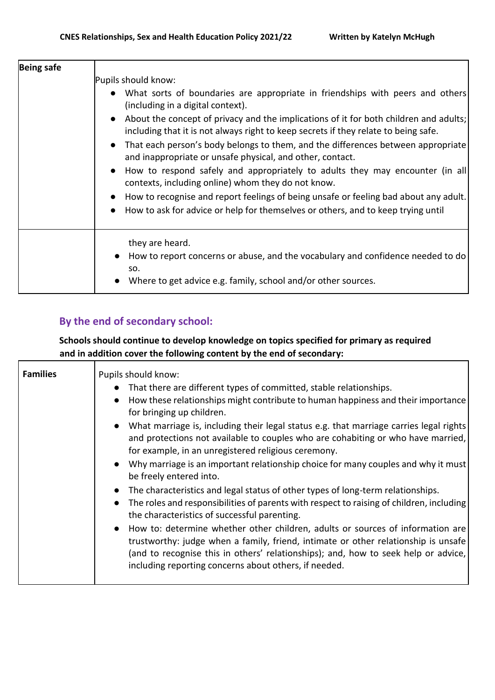| <b>Being safe</b> | Pupils should know:<br>What sorts of boundaries are appropriate in friendships with peers and others<br>(including in a digital context).<br>• About the concept of privacy and the implications of it for both children and adults;<br>including that it is not always right to keep secrets if they relate to being safe.<br>• That each person's body belongs to them, and the differences between appropriate<br>and inappropriate or unsafe physical, and other, contact.<br>• How to respond safely and appropriately to adults they may encounter (in all<br>contexts, including online) whom they do not know.<br>How to recognise and report feelings of being unsafe or feeling bad about any adult.<br>How to ask for advice or help for themselves or others, and to keep trying until<br>$\bullet$ |
|-------------------|-----------------------------------------------------------------------------------------------------------------------------------------------------------------------------------------------------------------------------------------------------------------------------------------------------------------------------------------------------------------------------------------------------------------------------------------------------------------------------------------------------------------------------------------------------------------------------------------------------------------------------------------------------------------------------------------------------------------------------------------------------------------------------------------------------------------|
|                   | they are heard.<br>How to report concerns or abuse, and the vocabulary and confidence needed to do<br>SO.<br>Where to get advice e.g. family, school and/or other sources.                                                                                                                                                                                                                                                                                                                                                                                                                                                                                                                                                                                                                                      |

## **By the end of secondary school:**

#### **Schools should continue to develop knowledge on topics specified for primary as required and in addition cover the following content by the end of secondary:**

| <b>Families</b> | Pupils should know:<br>That there are different types of committed, stable relationships.<br>How these relationships might contribute to human happiness and their importance<br>$\bullet$<br>for bringing up children.<br>What marriage is, including their legal status e.g. that marriage carries legal rights<br>and protections not available to couples who are cohabiting or who have married,<br>for example, in an unregistered religious ceremony.<br>Why marriage is an important relationship choice for many couples and why it must<br>$\bullet$<br>be freely entered into.<br>The characteristics and legal status of other types of long-term relationships.<br>$\bullet$ |
|-----------------|-------------------------------------------------------------------------------------------------------------------------------------------------------------------------------------------------------------------------------------------------------------------------------------------------------------------------------------------------------------------------------------------------------------------------------------------------------------------------------------------------------------------------------------------------------------------------------------------------------------------------------------------------------------------------------------------|
|                 | The roles and responsibilities of parents with respect to raising of children, including<br>the characteristics of successful parenting.<br>How to: determine whether other children, adults or sources of information are<br>$\bullet$<br>trustworthy: judge when a family, friend, intimate or other relationship is unsafe<br>(and to recognise this in others' relationships); and, how to seek help or advice,<br>including reporting concerns about others, if needed.                                                                                                                                                                                                              |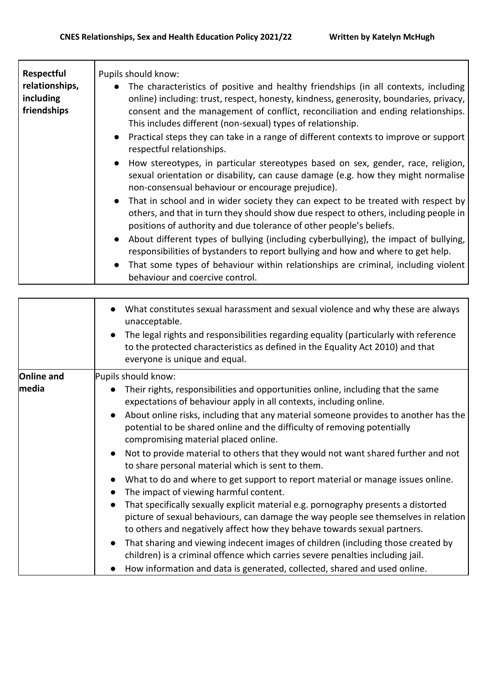| Respectful<br>relationships,<br>including<br>friendships | Pupils should know:<br>The characteristics of positive and healthy friendships (in all contexts, including<br>$\bullet$<br>online) including: trust, respect, honesty, kindness, generosity, boundaries, privacy,<br>consent and the management of conflict, reconciliation and ending relationships.<br>This includes different (non-sexual) types of relationship.<br>• Practical steps they can take in a range of different contexts to improve or support<br>respectful relationships. |
|----------------------------------------------------------|---------------------------------------------------------------------------------------------------------------------------------------------------------------------------------------------------------------------------------------------------------------------------------------------------------------------------------------------------------------------------------------------------------------------------------------------------------------------------------------------|
|                                                          | How stereotypes, in particular stereotypes based on sex, gender, race, religion,<br>$\bullet$<br>sexual orientation or disability, can cause damage (e.g. how they might normalise<br>non-consensual behaviour or encourage prejudice).                                                                                                                                                                                                                                                     |
|                                                          | That in school and in wider society they can expect to be treated with respect by<br>$\bullet$<br>others, and that in turn they should show due respect to others, including people in<br>positions of authority and due tolerance of other people's beliefs.                                                                                                                                                                                                                               |
|                                                          | About different types of bullying (including cyberbullying), the impact of bullying,<br>$\bullet$<br>responsibilities of bystanders to report bullying and how and where to get help.                                                                                                                                                                                                                                                                                                       |
|                                                          | That some types of behaviour within relationships are criminal, including violent<br>$\bullet$<br>behaviour and coercive control.                                                                                                                                                                                                                                                                                                                                                           |

|                   | What constitutes sexual harassment and sexual violence and why these are always<br>unacceptable.<br>The legal rights and responsibilities regarding equality (particularly with reference<br>to the protected characteristics as defined in the Equality Act 2010) and that<br>everyone is unique and equal. |
|-------------------|--------------------------------------------------------------------------------------------------------------------------------------------------------------------------------------------------------------------------------------------------------------------------------------------------------------|
| <b>Online and</b> | Pupils should know:                                                                                                                                                                                                                                                                                          |
| media             | Their rights, responsibilities and opportunities online, including that the same<br>expectations of behaviour apply in all contexts, including online.                                                                                                                                                       |
|                   | About online risks, including that any material someone provides to another has the<br>potential to be shared online and the difficulty of removing potentially<br>compromising material placed online.                                                                                                      |
|                   | Not to provide material to others that they would not want shared further and not<br>to share personal material which is sent to them.                                                                                                                                                                       |
|                   | What to do and where to get support to report material or manage issues online.<br>The impact of viewing harmful content.                                                                                                                                                                                    |
|                   | That specifically sexually explicit material e.g. pornography presents a distorted<br>picture of sexual behaviours, can damage the way people see themselves in relation<br>to others and negatively affect how they behave towards sexual partners.                                                         |
|                   | That sharing and viewing indecent images of children (including those created by<br>children) is a criminal offence which carries severe penalties including jail.                                                                                                                                           |
|                   | How information and data is generated, collected, shared and used online.                                                                                                                                                                                                                                    |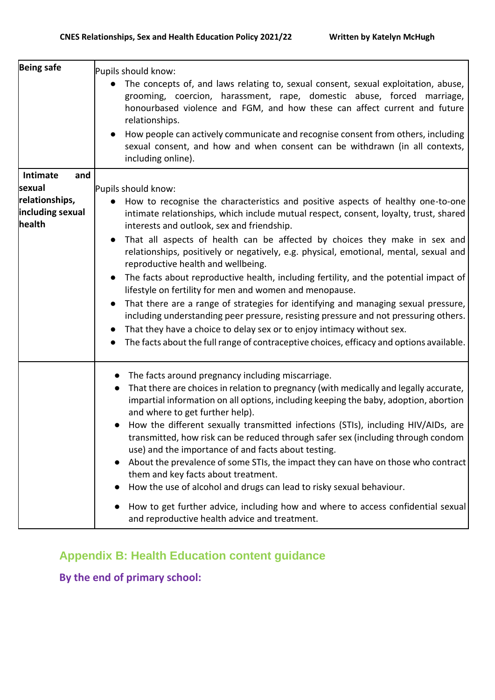| <b>Being safe</b>          | Pupils should know:<br>The concepts of, and laws relating to, sexual consent, sexual exploitation, abuse,<br>grooming, coercion, harassment, rape, domestic abuse, forced marriage,<br>honourbased violence and FGM, and how these can affect current and future<br>relationships.<br>How people can actively communicate and recognise consent from others, including<br>sexual consent, and how and when consent can be withdrawn (in all contexts,<br>including online). |
|----------------------------|-----------------------------------------------------------------------------------------------------------------------------------------------------------------------------------------------------------------------------------------------------------------------------------------------------------------------------------------------------------------------------------------------------------------------------------------------------------------------------|
| Intimate<br>and            |                                                                                                                                                                                                                                                                                                                                                                                                                                                                             |
| sexual                     | Pupils should know:                                                                                                                                                                                                                                                                                                                                                                                                                                                         |
| relationships,             | How to recognise the characteristics and positive aspects of healthy one-to-one                                                                                                                                                                                                                                                                                                                                                                                             |
| including sexual<br>health | intimate relationships, which include mutual respect, consent, loyalty, trust, shared<br>interests and outlook, sex and friendship.                                                                                                                                                                                                                                                                                                                                         |
|                            | That all aspects of health can be affected by choices they make in sex and<br>$\bullet$<br>relationships, positively or negatively, e.g. physical, emotional, mental, sexual and<br>reproductive health and wellbeing.                                                                                                                                                                                                                                                      |
|                            | The facts about reproductive health, including fertility, and the potential impact of<br>lifestyle on fertility for men and women and menopause.                                                                                                                                                                                                                                                                                                                            |
|                            | That there are a range of strategies for identifying and managing sexual pressure,<br>including understanding peer pressure, resisting pressure and not pressuring others.<br>That they have a choice to delay sex or to enjoy intimacy without sex.                                                                                                                                                                                                                        |
|                            | The facts about the full range of contraceptive choices, efficacy and options available.                                                                                                                                                                                                                                                                                                                                                                                    |
|                            | The facts around pregnancy including miscarriage.<br>$\bullet$                                                                                                                                                                                                                                                                                                                                                                                                              |
|                            | That there are choices in relation to pregnancy (with medically and legally accurate,<br>$\bullet$<br>impartial information on all options, including keeping the baby, adoption, abortion<br>and where to get further help).                                                                                                                                                                                                                                               |
|                            | How the different sexually transmitted infections (STIs), including HIV/AIDs, are<br>transmitted, how risk can be reduced through safer sex (including through condom<br>use) and the importance of and facts about testing.                                                                                                                                                                                                                                                |
|                            | About the prevalence of some STIs, the impact they can have on those who contract<br>$\bullet$<br>them and key facts about treatment.<br>How the use of alcohol and drugs can lead to risky sexual behaviour.                                                                                                                                                                                                                                                               |
|                            |                                                                                                                                                                                                                                                                                                                                                                                                                                                                             |
|                            | How to get further advice, including how and where to access confidential sexual<br>$\bullet$<br>and reproductive health advice and treatment.                                                                                                                                                                                                                                                                                                                              |

## **Appendix B: Health Education content guidance**

**By the end of primary school:**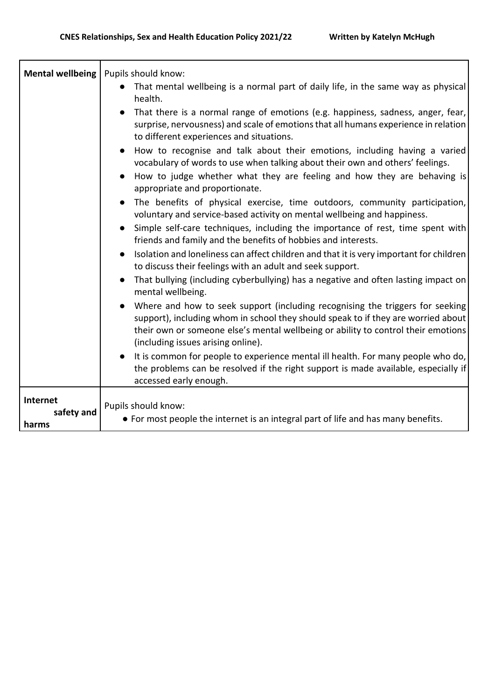| <b>Mental wellbeing</b> | Pupils should know:                                                                                                                                                                                                                                                                           |
|-------------------------|-----------------------------------------------------------------------------------------------------------------------------------------------------------------------------------------------------------------------------------------------------------------------------------------------|
|                         | That mental wellbeing is a normal part of daily life, in the same way as physical<br>health.                                                                                                                                                                                                  |
|                         | That there is a normal range of emotions (e.g. happiness, sadness, anger, fear,<br>surprise, nervousness) and scale of emotions that all humans experience in relation<br>to different experiences and situations.                                                                            |
|                         | How to recognise and talk about their emotions, including having a varied<br>vocabulary of words to use when talking about their own and others' feelings.                                                                                                                                    |
|                         | How to judge whether what they are feeling and how they are behaving is<br>appropriate and proportionate.                                                                                                                                                                                     |
|                         | The benefits of physical exercise, time outdoors, community participation,<br>voluntary and service-based activity on mental wellbeing and happiness.                                                                                                                                         |
|                         | Simple self-care techniques, including the importance of rest, time spent with<br>$\bullet$<br>friends and family and the benefits of hobbies and interests.                                                                                                                                  |
|                         | Isolation and loneliness can affect children and that it is very important for children<br>to discuss their feelings with an adult and seek support.                                                                                                                                          |
|                         | That bullying (including cyberbullying) has a negative and often lasting impact on<br>mental wellbeing.                                                                                                                                                                                       |
|                         | Where and how to seek support (including recognising the triggers for seeking<br>support), including whom in school they should speak to if they are worried about<br>their own or someone else's mental wellbeing or ability to control their emotions<br>(including issues arising online). |
|                         | It is common for people to experience mental ill health. For many people who do,<br>the problems can be resolved if the right support is made available, especially if<br>accessed early enough.                                                                                              |
| Internet                |                                                                                                                                                                                                                                                                                               |
| safety and              | Pupils should know:<br>• For most people the internet is an integral part of life and has many benefits.                                                                                                                                                                                      |
| harms                   |                                                                                                                                                                                                                                                                                               |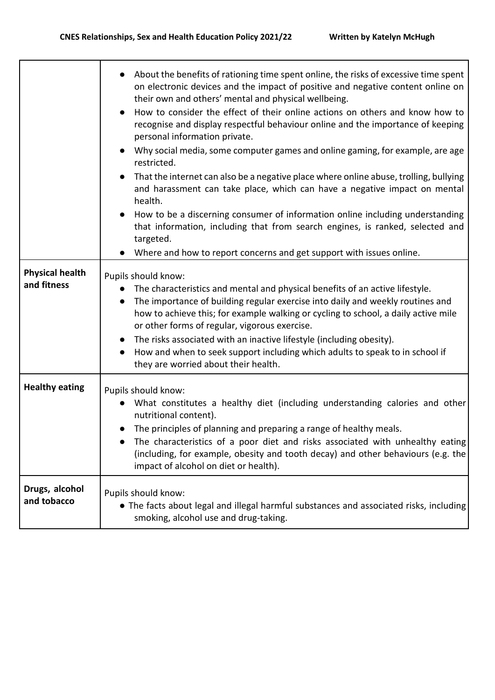|                                       | About the benefits of rationing time spent online, the risks of excessive time spent<br>on electronic devices and the impact of positive and negative content online on<br>their own and others' mental and physical wellbeing.<br>How to consider the effect of their online actions on others and know how to<br>recognise and display respectful behaviour online and the importance of keeping<br>personal information private.<br>• Why social media, some computer games and online gaming, for example, are age<br>restricted.<br>That the internet can also be a negative place where online abuse, trolling, bullying<br>and harassment can take place, which can have a negative impact on mental<br>health.<br>How to be a discerning consumer of information online including understanding<br>that information, including that from search engines, is ranked, selected and<br>targeted.<br>Where and how to report concerns and get support with issues online. |
|---------------------------------------|-------------------------------------------------------------------------------------------------------------------------------------------------------------------------------------------------------------------------------------------------------------------------------------------------------------------------------------------------------------------------------------------------------------------------------------------------------------------------------------------------------------------------------------------------------------------------------------------------------------------------------------------------------------------------------------------------------------------------------------------------------------------------------------------------------------------------------------------------------------------------------------------------------------------------------------------------------------------------------|
| <b>Physical health</b><br>and fitness | Pupils should know:<br>The characteristics and mental and physical benefits of an active lifestyle.<br>The importance of building regular exercise into daily and weekly routines and<br>how to achieve this; for example walking or cycling to school, a daily active mile<br>or other forms of regular, vigorous exercise.<br>The risks associated with an inactive lifestyle (including obesity).<br>How and when to seek support including which adults to speak to in school if<br>they are worried about their health.                                                                                                                                                                                                                                                                                                                                                                                                                                                  |
| <b>Healthy eating</b>                 | Pupils should know:<br>What constitutes a healthy diet (including understanding calories and other<br>nutritional content).<br>• The principles of planning and preparing a range of healthy meals.<br>The characteristics of a poor diet and risks associated with unhealthy eating<br>(including, for example, obesity and tooth decay) and other behaviours (e.g. the<br>impact of alcohol on diet or health).                                                                                                                                                                                                                                                                                                                                                                                                                                                                                                                                                             |
| Drugs, alcohol<br>and tobacco         | Pupils should know:<br>• The facts about legal and illegal harmful substances and associated risks, including<br>smoking, alcohol use and drug-taking.                                                                                                                                                                                                                                                                                                                                                                                                                                                                                                                                                                                                                                                                                                                                                                                                                        |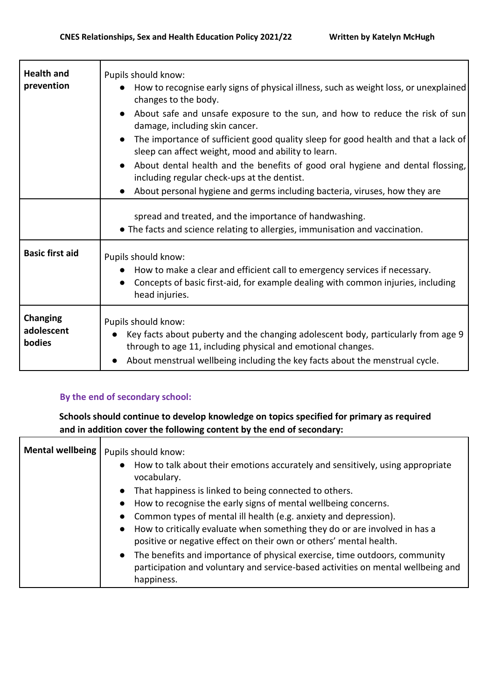| <b>Health and</b><br>prevention         | Pupils should know:<br>How to recognise early signs of physical illness, such as weight loss, or unexplained<br>changes to the body.<br>About safe and unsafe exposure to the sun, and how to reduce the risk of sun<br>damage, including skin cancer.<br>The importance of sufficient good quality sleep for good health and that a lack of<br>$\bullet$<br>sleep can affect weight, mood and ability to learn.<br>About dental health and the benefits of good oral hygiene and dental flossing,<br>including regular check-ups at the dentist. |
|-----------------------------------------|---------------------------------------------------------------------------------------------------------------------------------------------------------------------------------------------------------------------------------------------------------------------------------------------------------------------------------------------------------------------------------------------------------------------------------------------------------------------------------------------------------------------------------------------------|
|                                         | About personal hygiene and germs including bacteria, viruses, how they are                                                                                                                                                                                                                                                                                                                                                                                                                                                                        |
|                                         | spread and treated, and the importance of handwashing.<br>• The facts and science relating to allergies, immunisation and vaccination.                                                                                                                                                                                                                                                                                                                                                                                                            |
| <b>Basic first aid</b>                  | Pupils should know:<br>How to make a clear and efficient call to emergency services if necessary.<br>Concepts of basic first-aid, for example dealing with common injuries, including<br>head injuries.                                                                                                                                                                                                                                                                                                                                           |
| <b>Changing</b><br>adolescent<br>bodies | Pupils should know:<br>Key facts about puberty and the changing adolescent body, particularly from age 9<br>through to age 11, including physical and emotional changes.<br>About menstrual wellbeing including the key facts about the menstrual cycle.                                                                                                                                                                                                                                                                                          |

#### **By the end of secondary school:**

**Schools should continue to develop knowledge on topics specified for primary as required and in addition cover the following content by the end of secondary:** 

| Mental wellbeing | Pupils should know:<br>How to talk about their emotions accurately and sensitively, using appropriate<br>vocabulary. |
|------------------|----------------------------------------------------------------------------------------------------------------------|
|                  | That happiness is linked to being connected to others.                                                               |
|                  | How to recognise the early signs of mental wellbeing concerns.                                                       |
|                  | Common types of mental ill health (e.g. anxiety and depression).                                                     |
|                  | How to critically evaluate when something they do or are involved in has a                                           |
|                  | positive or negative effect on their own or others' mental health.                                                   |
|                  | The benefits and importance of physical exercise, time outdoors, community                                           |
|                  | participation and voluntary and service-based activities on mental wellbeing and                                     |
|                  | happiness.                                                                                                           |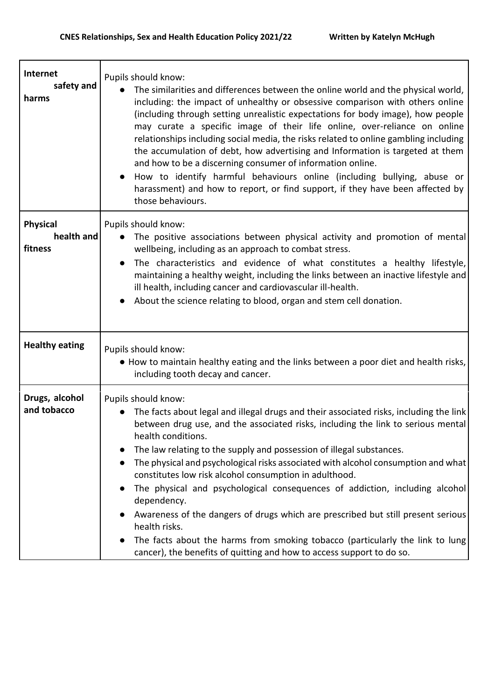$\overline{\mathbf{1}}$ 

| Internet<br>safety and<br>harms          | Pupils should know:<br>The similarities and differences between the online world and the physical world,<br>including: the impact of unhealthy or obsessive comparison with others online<br>(including through setting unrealistic expectations for body image), how people<br>may curate a specific image of their life online, over-reliance on online<br>relationships including social media, the risks related to online gambling including<br>the accumulation of debt, how advertising and Information is targeted at them<br>and how to be a discerning consumer of information online.<br>How to identify harmful behaviours online (including bullying, abuse or<br>harassment) and how to report, or find support, if they have been affected by<br>those behaviours.                            |
|------------------------------------------|--------------------------------------------------------------------------------------------------------------------------------------------------------------------------------------------------------------------------------------------------------------------------------------------------------------------------------------------------------------------------------------------------------------------------------------------------------------------------------------------------------------------------------------------------------------------------------------------------------------------------------------------------------------------------------------------------------------------------------------------------------------------------------------------------------------|
| <b>Physical</b><br>health and<br>fitness | Pupils should know:<br>The positive associations between physical activity and promotion of mental<br>$\bullet$<br>wellbeing, including as an approach to combat stress.<br>The characteristics and evidence of what constitutes a healthy lifestyle,<br>maintaining a healthy weight, including the links between an inactive lifestyle and<br>ill health, including cancer and cardiovascular ill-health.<br>About the science relating to blood, organ and stem cell donation.                                                                                                                                                                                                                                                                                                                            |
| <b>Healthy eating</b>                    | Pupils should know:<br>. How to maintain healthy eating and the links between a poor diet and health risks,<br>including tooth decay and cancer.                                                                                                                                                                                                                                                                                                                                                                                                                                                                                                                                                                                                                                                             |
| Drugs, alcohol<br>and tobacco            | Pupils should know:<br>The facts about legal and illegal drugs and their associated risks, including the link<br>between drug use, and the associated risks, including the link to serious mental<br>health conditions.<br>The law relating to the supply and possession of illegal substances.<br>The physical and psychological risks associated with alcohol consumption and what<br>constitutes low risk alcohol consumption in adulthood.<br>The physical and psychological consequences of addiction, including alcohol<br>dependency.<br>Awareness of the dangers of drugs which are prescribed but still present serious<br>health risks.<br>The facts about the harms from smoking tobacco (particularly the link to lung)<br>cancer), the benefits of quitting and how to access support to do so. |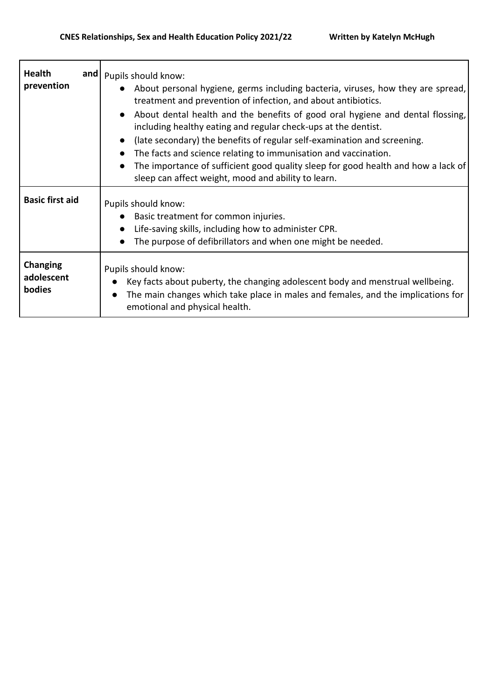$\mathbf{r}$ 

 $\mathbf{r}$ 

| <b>Health</b><br>prevention             | and   Pupils should know:<br>About personal hygiene, germs including bacteria, viruses, how they are spread,<br>treatment and prevention of infection, and about antibiotics.<br>About dental health and the benefits of good oral hygiene and dental flossing,<br>including healthy eating and regular check-ups at the dentist.<br>(late secondary) the benefits of regular self-examination and screening.<br>$\bullet$<br>The facts and science relating to immunisation and vaccination.<br>$\bullet$<br>The importance of sufficient good quality sleep for good health and how a lack of<br>sleep can affect weight, mood and ability to learn. |
|-----------------------------------------|--------------------------------------------------------------------------------------------------------------------------------------------------------------------------------------------------------------------------------------------------------------------------------------------------------------------------------------------------------------------------------------------------------------------------------------------------------------------------------------------------------------------------------------------------------------------------------------------------------------------------------------------------------|
| <b>Basic first aid</b>                  | Pupils should know:<br>Basic treatment for common injuries.<br>Life-saving skills, including how to administer CPR.<br>The purpose of defibrillators and when one might be needed.                                                                                                                                                                                                                                                                                                                                                                                                                                                                     |
| Changing<br>adolescent<br><b>bodies</b> | Pupils should know:<br>Key facts about puberty, the changing adolescent body and menstrual wellbeing.<br>The main changes which take place in males and females, and the implications for<br>emotional and physical health.                                                                                                                                                                                                                                                                                                                                                                                                                            |